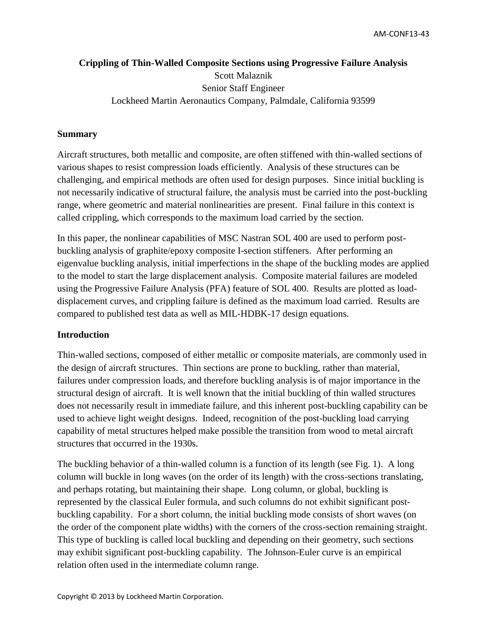# **Crippling of Thin-Walled Composite Sections using Progressive Failure Analysis** Scott Malaznik Senior Staff Engineer Lockheed Martin Aeronautics Company, Palmdale, California 93599

#### **Summary**

Aircraft structures, both metallic and composite, are often stiffened with thin-walled sections of various shapes to resist compression loads efficiently. Analysis of these structures can be challenging, and empirical methods are often used for design purposes. Since initial buckling is not necessarily indicative of structural failure, the analysis must be carried into the post-buckling range, where geometric and material nonlinearities are present. Final failure in this context is called crippling, which corresponds to the maximum load carried by the section.

In this paper, the nonlinear capabilities of MSC Nastran SOL 400 are used to perform postbuckling analysis of graphite/epoxy composite I-section stiffeners. After performing an eigenvalue buckling analysis, initial imperfections in the shape of the buckling modes are applied to the model to start the large displacement analysis. Composite material failures are modeled using the Progressive Failure Analysis (PFA) feature of SOL 400. Results are plotted as loaddisplacement curves, and crippling failure is defined as the maximum load carried. Results are compared to published test data as well as MIL-HDBK-17 design equations.

#### **Introduction**

Thin-walled sections, composed of either metallic or composite materials, are commonly used in the design of aircraft structures. Thin sections are prone to buckling, rather than material, failures under compression loads, and therefore buckling analysis is of major importance in the structural design of aircraft. It is well known that the initial buckling of thin walled structures does not necessarily result in immediate failure, and this inherent post-buckling capability can be used to achieve light weight designs. Indeed, recognition of the post-buckling load carrying capability of metal structures helped make possible the transition from wood to metal aircraft structures that occurred in the 1930s.

The buckling behavior of a thin-walled column is a function of its length (see Fig. 1). A long column will buckle in long waves (on the order of its length) with the cross-sections translating, and perhaps rotating, but maintaining their shape. Long column, or global, buckling is represented by the classical Euler formula, and such columns do not exhibit significant postbuckling capability. For a short column, the initial buckling mode consists of short waves (on the order of the component plate widths) with the corners of the cross-section remaining straight. This type of buckling is called local buckling and depending on their geometry, such sections may exhibit significant post-buckling capability. The Johnson-Euler curve is an empirical relation often used in the intermediate column range.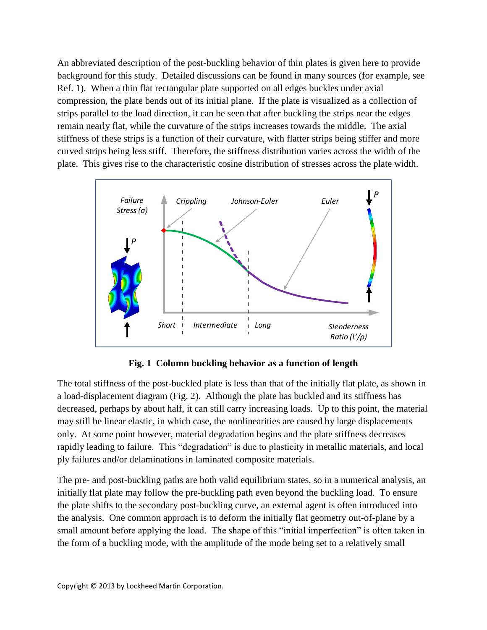An abbreviated description of the post-buckling behavior of thin plates is given here to provide background for this study. Detailed discussions can be found in many sources (for example, see Ref. 1). When a thin flat rectangular plate supported on all edges buckles under axial compression, the plate bends out of its initial plane. If the plate is visualized as a collection of strips parallel to the load direction, it can be seen that after buckling the strips near the edges remain nearly flat, while the curvature of the strips increases towards the middle. The axial stiffness of these strips is a function of their curvature, with flatter strips being stiffer and more curved strips being less stiff. Therefore, the stiffness distribution varies across the width of the plate. This gives rise to the characteristic cosine distribution of stresses across the plate width.



**Fig. 1 Column buckling behavior as a function of length**

The total stiffness of the post-buckled plate is less than that of the initially flat plate, as shown in a load-displacement diagram (Fig. 2). Although the plate has buckled and its stiffness has decreased, perhaps by about half, it can still carry increasing loads. Up to this point, the material may still be linear elastic, in which case, the nonlinearities are caused by large displacements only. At some point however, material degradation begins and the plate stiffness decreases rapidly leading to failure. This "degradation" is due to plasticity in metallic materials, and local ply failures and/or delaminations in laminated composite materials.

The pre- and post-buckling paths are both valid equilibrium states, so in a numerical analysis, an initially flat plate may follow the pre-buckling path even beyond the buckling load. To ensure the plate shifts to the secondary post-buckling curve, an external agent is often introduced into the analysis. One common approach is to deform the initially flat geometry out-of-plane by a small amount before applying the load. The shape of this "initial imperfection" is often taken in the form of a buckling mode, with the amplitude of the mode being set to a relatively small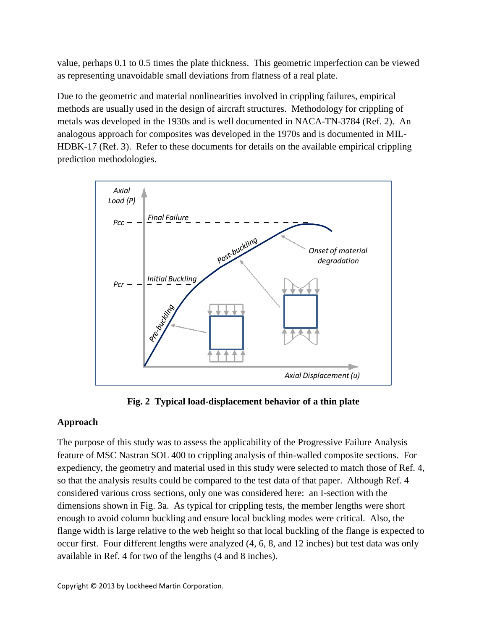value, perhaps 0.1 to 0.5 times the plate thickness. This geometric imperfection can be viewed as representing unavoidable small deviations from flatness of a real plate.

Due to the geometric and material nonlinearities involved in crippling failures, empirical methods are usually used in the design of aircraft structures. Methodology for crippling of metals was developed in the 1930s and is well documented in NACA-TN-3784 (Ref. 2). An analogous approach for composites was developed in the 1970s and is documented in MIL-HDBK-17 (Ref. 3). Refer to these documents for details on the available empirical crippling prediction methodologies.



**Fig. 2 Typical load-displacement behavior of a thin plate**

## **Approach**

The purpose of this study was to assess the applicability of the Progressive Failure Analysis feature of MSC Nastran SOL 400 to crippling analysis of thin-walled composite sections. For expediency, the geometry and material used in this study were selected to match those of Ref. 4, so that the analysis results could be compared to the test data of that paper. Although Ref. 4 considered various cross sections, only one was considered here: an I-section with the dimensions shown in Fig. 3a. As typical for crippling tests, the member lengths were short enough to avoid column buckling and ensure local buckling modes were critical. Also, the flange width is large relative to the web height so that local buckling of the flange is expected to occur first. Four different lengths were analyzed (4, 6, 8, and 12 inches) but test data was only available in Ref. 4 for two of the lengths (4 and 8 inches).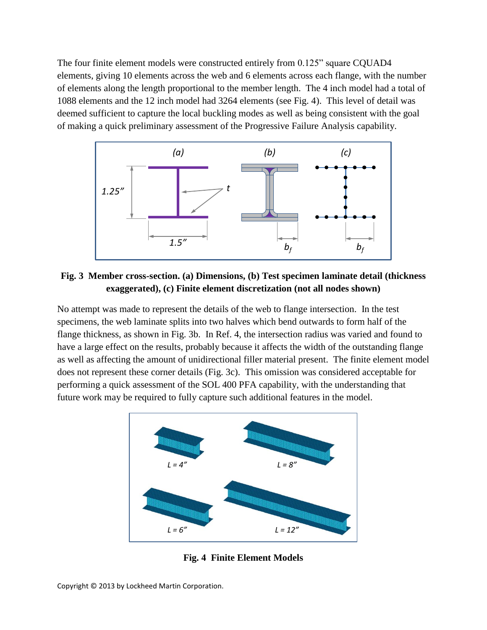The four finite element models were constructed entirely from 0.125" square CQUAD4 elements, giving 10 elements across the web and 6 elements across each flange, with the number of elements along the length proportional to the member length. The 4 inch model had a total of 1088 elements and the 12 inch model had 3264 elements (see Fig. 4). This level of detail was deemed sufficient to capture the local buckling modes as well as being consistent with the goal of making a quick preliminary assessment of the Progressive Failure Analysis capability.



**Fig. 3 Member cross-section. (a) Dimensions, (b) Test specimen laminate detail (thickness exaggerated), (c) Finite element discretization (not all nodes shown)**

No attempt was made to represent the details of the web to flange intersection. In the test specimens, the web laminate splits into two halves which bend outwards to form half of the flange thickness, as shown in Fig. 3b. In Ref. 4, the intersection radius was varied and found to have a large effect on the results, probably because it affects the width of the outstanding flange as well as affecting the amount of unidirectional filler material present. The finite element model does not represent these corner details (Fig. 3c). This omission was considered acceptable for performing a quick assessment of the SOL 400 PFA capability, with the understanding that future work may be required to fully capture such additional features in the model.



**Fig. 4 Finite Element Models**

Copyright © 2013 by Lockheed Martin Corporation.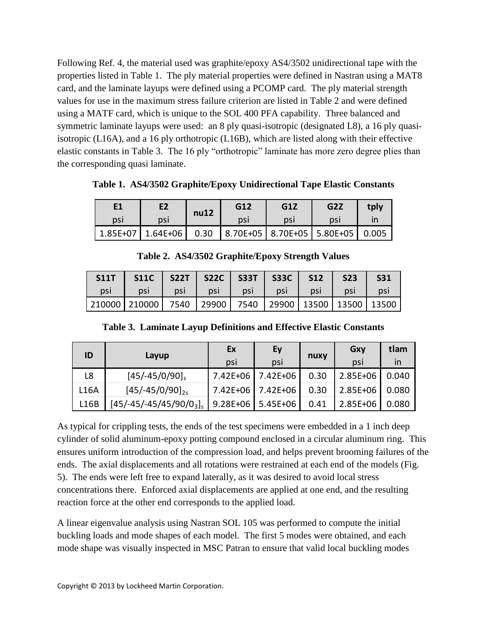Following Ref. 4, the material used was graphite/epoxy AS4/3502 unidirectional tape with the properties listed in Table 1. The ply material properties were defined in Nastran using a MAT8 card, and the laminate layups were defined using a PCOMP card. The ply material strength values for use in the maximum stress failure criterion are listed in Table 2 and were defined using a MATF card, which is unique to the SOL 400 PFA capability. Three balanced and symmetric laminate layups were used: an 8 ply quasi-isotropic (designated L8), a 16 ply quasiisotropic (L16A), and a 16 ply orthotropic (L16B), which are listed along with their effective elastic constants in Table 3. The 16 ply "orthotropic" laminate has more zero degree plies than the corresponding quasi laminate.

**Table 1. AS4/3502 Graphite/Epoxy Unidirectional Tape Elastic Constants**

|     | E2                                                                  | nu12 | G12 | G1Z | G <sub>2</sub> Z | tply |
|-----|---------------------------------------------------------------------|------|-----|-----|------------------|------|
| psi | psi                                                                 |      | DSI | psi | <b>DSI</b>       |      |
|     | 1.85E+07   1.64E+06   0.30   8.70E+05   8.70E+05   5.80E+05   0.005 |      |     |     |                  |      |

**Table 2. AS4/3502 Graphite/Epoxy Strength Values**

| S11T | <b>S11C</b>                                                           | <b>S22T</b> |     |       | S22C   S33T   S33C   S12 |     | <b>S23</b> | <b>S31</b> |
|------|-----------------------------------------------------------------------|-------------|-----|-------|--------------------------|-----|------------|------------|
| psi  | psi                                                                   | psi         | psi | psi \ | psi                      | psi | psi        | psi        |
|      | 210000   210000   7540   29900   7540   29900   13500   13500   13500 |             |     |       |                          |     |            |            |

**Table 3. Laminate Layup Definitions and Effective Elastic Constants**

| ID          |                          | Ex           | Ey           |      | Gxy      | tlam  |
|-------------|--------------------------|--------------|--------------|------|----------|-------|
|             | Layup                    | psi          | psi          | nuxy | DSI      | in    |
| L8          | $[45/-45/0/90]$          | $7.42E + 06$ | 7.42E+06     | 0.30 | 2.85E+06 | 0.040 |
| <b>L16A</b> | $[45/-45/0/90]_{25}$     | 7.42E+06     | $7.42E + 06$ | 0.30 | 2.85E+06 | 0.080 |
| L16B        | $[45/-45/-45/45/90/03]s$ | $9.28E + 06$ | $5.45E + 06$ | 0.41 | 2.85E+06 | 0.080 |

As typical for crippling tests, the ends of the test specimens were embedded in a 1 inch deep cylinder of solid aluminum-epoxy potting compound enclosed in a circular aluminum ring. This ensures uniform introduction of the compression load, and helps prevent brooming failures of the ends. The axial displacements and all rotations were restrained at each end of the models (Fig. 5). The ends were left free to expand laterally, as it was desired to avoid local stress concentrations there. Enforced axial displacements are applied at one end, and the resulting reaction force at the other end corresponds to the applied load.

A linear eigenvalue analysis using Nastran SOL 105 was performed to compute the initial buckling loads and mode shapes of each model. The first 5 modes were obtained, and each mode shape was visually inspected in MSC Patran to ensure that valid local buckling modes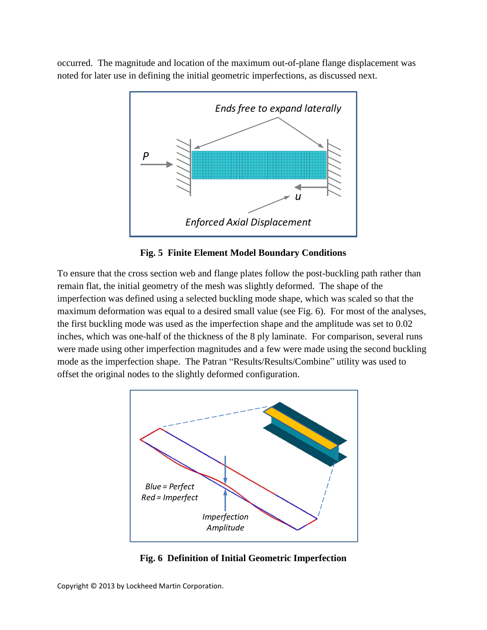occurred. The magnitude and location of the maximum out-of-plane flange displacement was noted for later use in defining the initial geometric imperfections, as discussed next.



**Fig. 5 Finite Element Model Boundary Conditions**

To ensure that the cross section web and flange plates follow the post-buckling path rather than remain flat, the initial geometry of the mesh was slightly deformed. The shape of the imperfection was defined using a selected buckling mode shape, which was scaled so that the maximum deformation was equal to a desired small value (see Fig. 6). For most of the analyses, the first buckling mode was used as the imperfection shape and the amplitude was set to 0.02 inches, which was one-half of the thickness of the 8 ply laminate. For comparison, several runs were made using other imperfection magnitudes and a few were made using the second buckling mode as the imperfection shape. The Patran "Results/Results/Combine" utility was used to offset the original nodes to the slightly deformed configuration.



**Fig. 6 Definition of Initial Geometric Imperfection**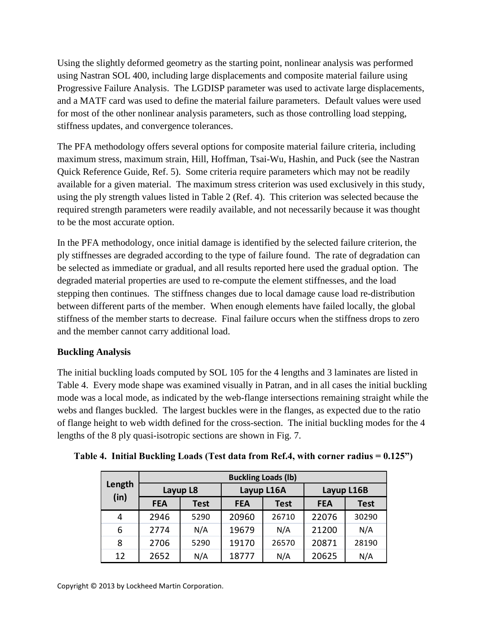Using the slightly deformed geometry as the starting point, nonlinear analysis was performed using Nastran SOL 400, including large displacements and composite material failure using Progressive Failure Analysis. The LGDISP parameter was used to activate large displacements, and a MATF card was used to define the material failure parameters. Default values were used for most of the other nonlinear analysis parameters, such as those controlling load stepping, stiffness updates, and convergence tolerances.

The PFA methodology offers several options for composite material failure criteria, including maximum stress, maximum strain, Hill, Hoffman, Tsai-Wu, Hashin, and Puck (see the Nastran Quick Reference Guide, Ref. 5). Some criteria require parameters which may not be readily available for a given material. The maximum stress criterion was used exclusively in this study, using the ply strength values listed in Table 2 (Ref. 4). This criterion was selected because the required strength parameters were readily available, and not necessarily because it was thought to be the most accurate option.

In the PFA methodology, once initial damage is identified by the selected failure criterion, the ply stiffnesses are degraded according to the type of failure found. The rate of degradation can be selected as immediate or gradual, and all results reported here used the gradual option. The degraded material properties are used to re-compute the element stiffnesses, and the load stepping then continues. The stiffness changes due to local damage cause load re-distribution between different parts of the member. When enough elements have failed locally, the global stiffness of the member starts to decrease. Final failure occurs when the stiffness drops to zero and the member cannot carry additional load.

### **Buckling Analysis**

The initial buckling loads computed by SOL 105 for the 4 lengths and 3 laminates are listed in Table 4. Every mode shape was examined visually in Patran, and in all cases the initial buckling mode was a local mode, as indicated by the web-flange intersections remaining straight while the webs and flanges buckled. The largest buckles were in the flanges, as expected due to the ratio of flange height to web width defined for the cross-section. The initial buckling modes for the 4 lengths of the 8 ply quasi-isotropic sections are shown in Fig. 7.

|                | <b>Buckling Loads (lb)</b> |             |            |             |            |             |  |  |  |
|----------------|----------------------------|-------------|------------|-------------|------------|-------------|--|--|--|
| Length<br>(in) | Layup L8                   |             |            | Layup L16A  | Layup L16B |             |  |  |  |
|                | <b>FEA</b>                 | <b>Test</b> | <b>FEA</b> | <b>Test</b> | <b>FEA</b> | <b>Test</b> |  |  |  |
| 4              | 2946                       | 5290        | 20960      | 26710       | 22076      | 30290       |  |  |  |
| 6              | 2774                       | N/A         | 19679      | N/A         | 21200      | N/A         |  |  |  |
| 8              | 2706                       | 5290        | 19170      | 26570       | 20871      | 28190       |  |  |  |
| 12             | 2652                       | N/A         | 18777      | N/A         | 20625      | N/A         |  |  |  |

**Table 4. Initial Buckling Loads (Test data from Ref.4, with corner radius = 0.125")**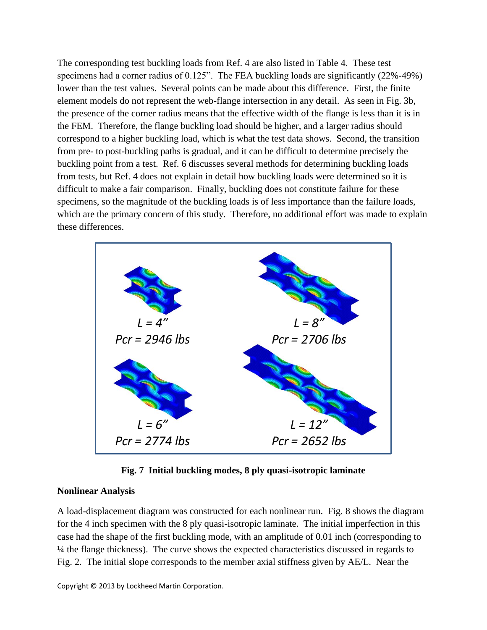The corresponding test buckling loads from Ref. 4 are also listed in Table 4. These test specimens had a corner radius of 0.125". The FEA buckling loads are significantly (22%-49%) lower than the test values. Several points can be made about this difference. First, the finite element models do not represent the web-flange intersection in any detail. As seen in Fig. 3b, the presence of the corner radius means that the effective width of the flange is less than it is in the FEM. Therefore, the flange buckling load should be higher, and a larger radius should correspond to a higher buckling load, which is what the test data shows. Second, the transition from pre- to post-buckling paths is gradual, and it can be difficult to determine precisely the buckling point from a test. Ref. 6 discusses several methods for determining buckling loads from tests, but Ref. 4 does not explain in detail how buckling loads were determined so it is difficult to make a fair comparison. Finally, buckling does not constitute failure for these specimens, so the magnitude of the buckling loads is of less importance than the failure loads, which are the primary concern of this study. Therefore, no additional effort was made to explain these differences.



**Fig. 7 Initial buckling modes, 8 ply quasi-isotropic laminate**

#### **Nonlinear Analysis**

A load-displacement diagram was constructed for each nonlinear run. Fig. 8 shows the diagram for the 4 inch specimen with the 8 ply quasi-isotropic laminate. The initial imperfection in this case had the shape of the first buckling mode, with an amplitude of 0.01 inch (corresponding to ¼ the flange thickness). The curve shows the expected characteristics discussed in regards to Fig. 2. The initial slope corresponds to the member axial stiffness given by AE/L. Near the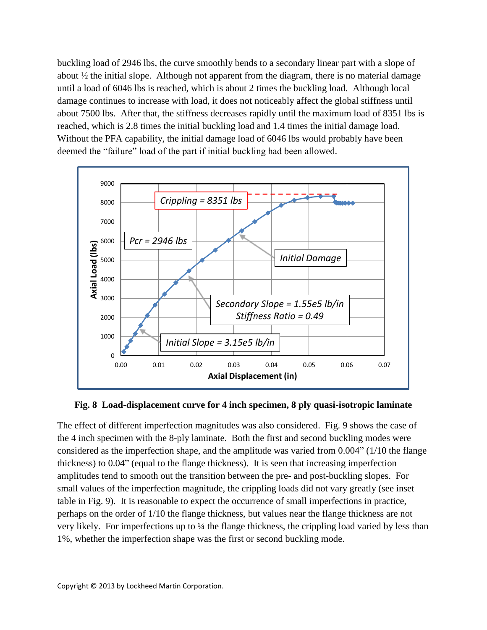buckling load of 2946 lbs, the curve smoothly bends to a secondary linear part with a slope of about  $\frac{1}{2}$  the initial slope. Although not apparent from the diagram, there is no material damage until a load of 6046 lbs is reached, which is about 2 times the buckling load. Although local damage continues to increase with load, it does not noticeably affect the global stiffness until about 7500 lbs. After that, the stiffness decreases rapidly until the maximum load of 8351 lbs is reached, which is 2.8 times the initial buckling load and 1.4 times the initial damage load. Without the PFA capability, the initial damage load of 6046 lbs would probably have been deemed the "failure" load of the part if initial buckling had been allowed.



**Fig. 8 Load-displacement curve for 4 inch specimen, 8 ply quasi-isotropic laminate**

The effect of different imperfection magnitudes was also considered. Fig. 9 shows the case of the 4 inch specimen with the 8-ply laminate. Both the first and second buckling modes were considered as the imperfection shape, and the amplitude was varied from 0.004" (1/10 the flange thickness) to 0.04" (equal to the flange thickness). It is seen that increasing imperfection amplitudes tend to smooth out the transition between the pre- and post-buckling slopes. For small values of the imperfection magnitude, the crippling loads did not vary greatly (see inset table in Fig. 9). It is reasonable to expect the occurrence of small imperfections in practice, perhaps on the order of 1/10 the flange thickness, but values near the flange thickness are not very likely. For imperfections up to ¼ the flange thickness, the crippling load varied by less than 1%, whether the imperfection shape was the first or second buckling mode.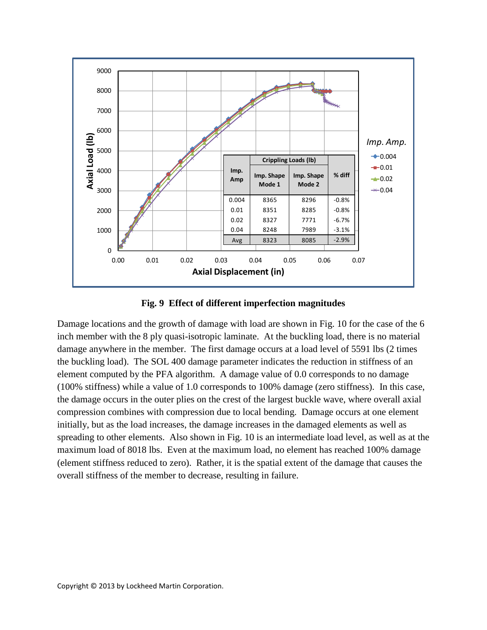

**Fig. 9 Effect of different imperfection magnitudes**

Damage locations and the growth of damage with load are shown in Fig. 10 for the case of the 6 inch member with the 8 ply quasi-isotropic laminate. At the buckling load, there is no material damage anywhere in the member. The first damage occurs at a load level of 5591 lbs (2 times the buckling load). The SOL 400 damage parameter indicates the reduction in stiffness of an element computed by the PFA algorithm. A damage value of 0.0 corresponds to no damage (100% stiffness) while a value of 1.0 corresponds to 100% damage (zero stiffness). In this case, the damage occurs in the outer plies on the crest of the largest buckle wave, where overall axial compression combines with compression due to local bending. Damage occurs at one element initially, but as the load increases, the damage increases in the damaged elements as well as spreading to other elements. Also shown in Fig. 10 is an intermediate load level, as well as at the maximum load of 8018 lbs. Even at the maximum load, no element has reached 100% damage (element stiffness reduced to zero). Rather, it is the spatial extent of the damage that causes the overall stiffness of the member to decrease, resulting in failure.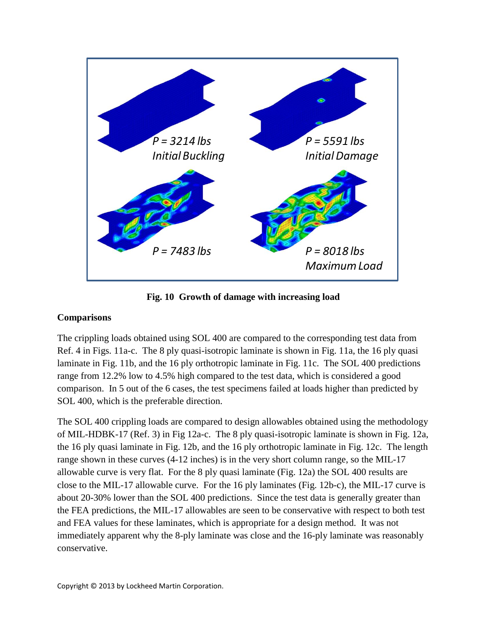![](_page_10_Figure_0.jpeg)

**Fig. 10 Growth of damage with increasing load**

### **Comparisons**

The crippling loads obtained using SOL 400 are compared to the corresponding test data from Ref. 4 in Figs. 11a-c. The 8 ply quasi-isotropic laminate is shown in Fig. 11a, the 16 ply quasi laminate in Fig. 11b, and the 16 ply orthotropic laminate in Fig. 11c. The SOL 400 predictions range from 12.2% low to 4.5% high compared to the test data, which is considered a good comparison. In 5 out of the 6 cases, the test specimens failed at loads higher than predicted by SOL 400, which is the preferable direction.

The SOL 400 crippling loads are compared to design allowables obtained using the methodology of MIL-HDBK-17 (Ref. 3) in Fig 12a-c. The 8 ply quasi-isotropic laminate is shown in Fig. 12a, the 16 ply quasi laminate in Fig. 12b, and the 16 ply orthotropic laminate in Fig. 12c. The length range shown in these curves (4-12 inches) is in the very short column range, so the MIL-17 allowable curve is very flat. For the 8 ply quasi laminate (Fig. 12a) the SOL 400 results are close to the MIL-17 allowable curve. For the 16 ply laminates (Fig. 12b-c), the MIL-17 curve is about 20-30% lower than the SOL 400 predictions. Since the test data is generally greater than the FEA predictions, the MIL-17 allowables are seen to be conservative with respect to both test and FEA values for these laminates, which is appropriate for a design method. It was not immediately apparent why the 8-ply laminate was close and the 16-ply laminate was reasonably conservative.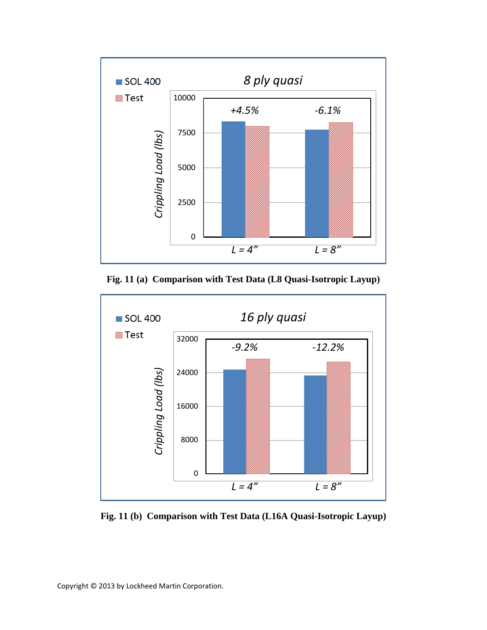![](_page_11_Figure_0.jpeg)

**Fig. 11 (a) Comparison with Test Data (L8 Quasi-Isotropic Layup)**

![](_page_11_Figure_2.jpeg)

**Fig. 11 (b) Comparison with Test Data (L16A Quasi-Isotropic Layup)**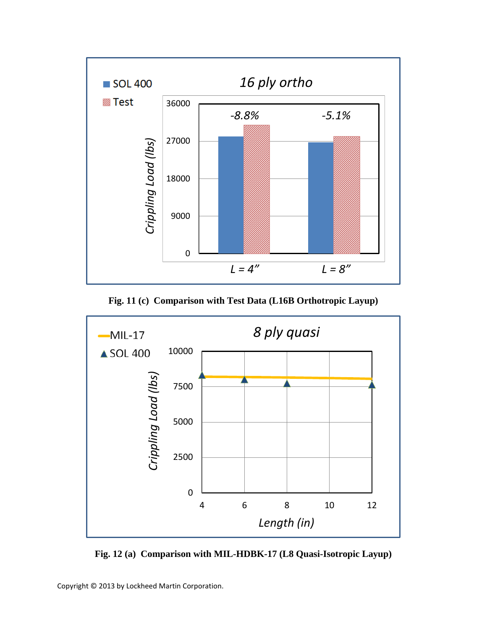![](_page_12_Figure_0.jpeg)

**Fig. 11 (c) Comparison with Test Data (L16B Orthotropic Layup)**

![](_page_12_Figure_2.jpeg)

**Fig. 12 (a) Comparison with MIL-HDBK-17 (L8 Quasi-Isotropic Layup)**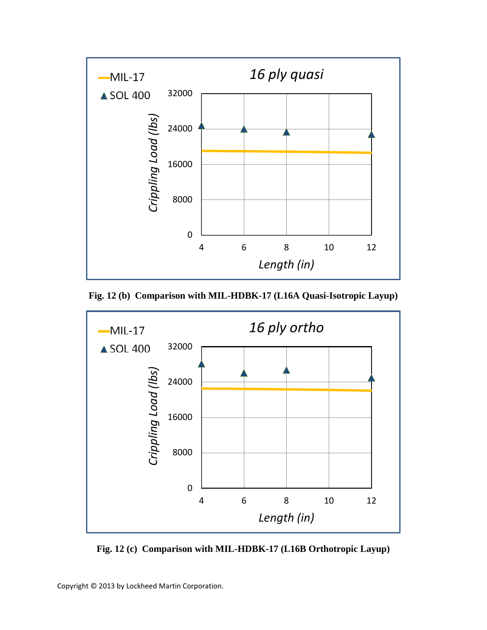![](_page_13_Figure_0.jpeg)

**Fig. 12 (b) Comparison with MIL-HDBK-17 (L16A Quasi-Isotropic Layup)**

![](_page_13_Figure_2.jpeg)

**Fig. 12 (c) Comparison with MIL-HDBK-17 (L16B Orthotropic Layup)**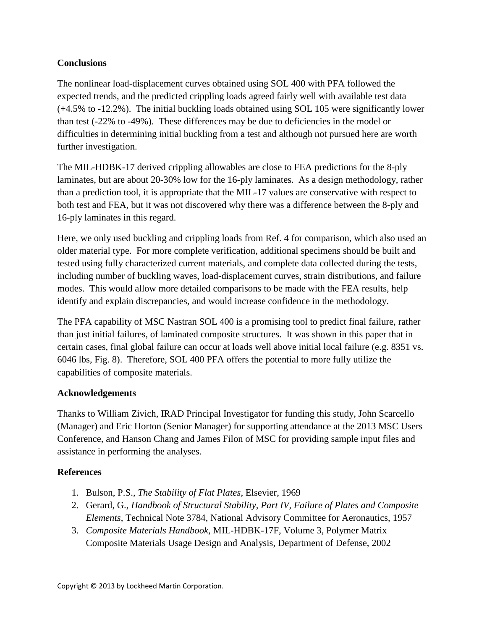## **Conclusions**

The nonlinear load-displacement curves obtained using SOL 400 with PFA followed the expected trends, and the predicted crippling loads agreed fairly well with available test data (+4.5% to -12.2%). The initial buckling loads obtained using SOL 105 were significantly lower than test (-22% to -49%). These differences may be due to deficiencies in the model or difficulties in determining initial buckling from a test and although not pursued here are worth further investigation.

The MIL-HDBK-17 derived crippling allowables are close to FEA predictions for the 8-ply laminates, but are about 20-30% low for the 16-ply laminates. As a design methodology, rather than a prediction tool, it is appropriate that the MIL-17 values are conservative with respect to both test and FEA, but it was not discovered why there was a difference between the 8-ply and 16-ply laminates in this regard.

Here, we only used buckling and crippling loads from Ref. 4 for comparison, which also used an older material type. For more complete verification, additional specimens should be built and tested using fully characterized current materials, and complete data collected during the tests, including number of buckling waves, load-displacement curves, strain distributions, and failure modes. This would allow more detailed comparisons to be made with the FEA results, help identify and explain discrepancies, and would increase confidence in the methodology.

The PFA capability of MSC Nastran SOL 400 is a promising tool to predict final failure, rather than just initial failures, of laminated composite structures. It was shown in this paper that in certain cases, final global failure can occur at loads well above initial local failure (e.g. 8351 vs. 6046 lbs, Fig. 8). Therefore, SOL 400 PFA offers the potential to more fully utilize the capabilities of composite materials.

### **Acknowledgements**

Thanks to William Zivich, IRAD Principal Investigator for funding this study, John Scarcello (Manager) and Eric Horton (Senior Manager) for supporting attendance at the 2013 MSC Users Conference, and Hanson Chang and James Filon of MSC for providing sample input files and assistance in performing the analyses.

### **References**

- 1. Bulson, P.S., *The Stability of Flat Plates*, Elsevier, 1969
- 2. Gerard, G., *Handbook of Structural Stability, Part IV, Failure of Plates and Composite Elements*, Technical Note 3784, National Advisory Committee for Aeronautics, 1957
- 3. *Composite Materials Handbook*, MIL-HDBK-17F, Volume 3, Polymer Matrix Composite Materials Usage Design and Analysis, Department of Defense, 2002